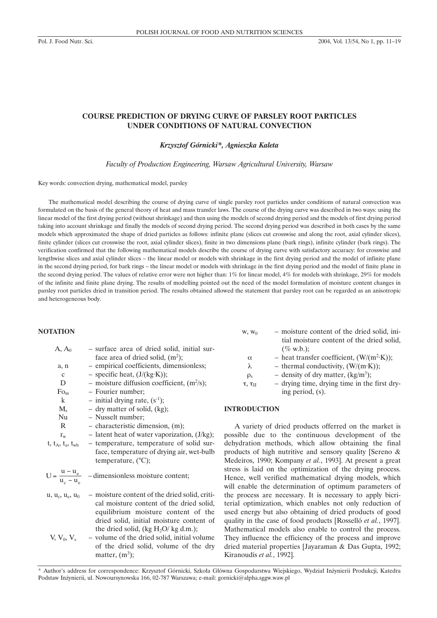# **COURSE PREDICTION OF DRYING CURVE OF PARSLEY ROOT PARTICLES UNDER CONDITIONS OF NATURAL CONVECTION**

## *Krzysztof Górnicki\*, Agnieszka Kaleta*

*Faculty of Production Engineering, Warsaw Agricultural University, Warsaw*

Key words: convection drying, mathematical model, parsley

The mathematical model describing the course of drying curve of single parsley root particles under conditions of natural convection was formulated on the basis of the general theory of heat and mass transfer laws. The course of the drying curve was described in two ways: using the linear model of the first drying period (without shrinkage) and then using the models of second drying period and the models of first drying period taking into account shrinkage and finally the models of second drying period. The second drying period was described in both cases by the same models which approximated the shape of dried particles as follows: infinite plane (slices cut crosswise and along the root, axial cylinder slices), finite cylinder (slices cut crosswise the root, axial cylinder slices), finite in two dimensions plane (bark rings), infinite cylinder (bark rings). The verification confirmed that the following mathematical models describe the course of drying curve with satisfactory accuracy: for crosswise and lengthwise slices and axial cylinder slices – the linear model or models with shrinkage in the first drying period and the model of infinite plane in the second drying period, for bark rings – the linear model or models with shrinkage in the first drying period and the model of finite plane in the second drying period. The values of relative error were not higher than: 1% for linear model, 4% for models with shrinkage, 29% for models of the infinite and finite plane drying. The results of modelling pointed out the need of the model formulation of moisture content changes in parsley root particles dried in transition period. The results obtained allowed the statement that parsley root can be regarded as an anisotropic and heterogeneous body.

#### **NOTATION**

| $A, A_0$                            | - surface area of dried solid, initial sur-<br>face area of dried solid, $(m^2)$ ;                                                                                                                                                                                    |
|-------------------------------------|-----------------------------------------------------------------------------------------------------------------------------------------------------------------------------------------------------------------------------------------------------------------------|
| a, n                                | - empirical coefficients, dimensionless;                                                                                                                                                                                                                              |
| $\mathbf{C}$                        | - specific heat, $(J/(kg·K))$ ;                                                                                                                                                                                                                                       |
| D                                   | - moisture diffusion coefficient, $(m^2/s)$ ;                                                                                                                                                                                                                         |
| $Fo_m$                              | - Fourier number;                                                                                                                                                                                                                                                     |
| k                                   | - initial drying rate, $(s^{-1})$ ;                                                                                                                                                                                                                                   |
| $M_{s}$                             | - dry matter of solid, (kg);                                                                                                                                                                                                                                          |
| Nu.                                 | - Nusselt number;                                                                                                                                                                                                                                                     |
| $\mathbb{R}$                        | - characteristic dimension, (m);                                                                                                                                                                                                                                      |
| $r_{\rm w}$                         | $-$ latent heat of water vaporization, $(J/kg)$ ;                                                                                                                                                                                                                     |
| $t, t_A, t_a, t_{wb}$               | - temperature, temperature of solid sur-                                                                                                                                                                                                                              |
|                                     | face, temperature of drying air, wet-bulb<br>temperature, $(^{\circ}C)$ ;                                                                                                                                                                                             |
|                                     | $U = \frac{u - u_e}{u_e - u_e}$ – dimensionless moisture content;                                                                                                                                                                                                     |
| $u, u_c, u_e, u_0$<br>$V, V_0, V_s$ | - moisture content of the dried solid, criti-<br>cal moisture content of the dried solid,<br>equilibrium moisture content of the<br>dried solid, initial moisture content of<br>the dried solid, (kg $H_2O$ /kg d.m.);<br>- volume of the dried solid, initial volume |
|                                     | of the dried solid, volume of the dry<br>matter, $(m^3)$ ;                                                                                                                                                                                                            |

| $W, W_0$ | - moisture content of the dried solid, ini- |
|----------|---------------------------------------------|
|          | tial moisture content of the dried solid,   |
|          | $(\%$ w.b.);                                |
|          |                                             |

- $\alpha$  heat transfer coefficient,  $(W/(m^2 \cdot K))$ ;
- $\lambda$  thermal conductivity,  $(W/(m \cdot K))$ ;
- $\rho_s$  density of dry matter,  $(kg/m^3)$ ;
- $\tau$ ,  $\tau$ <sub>II</sub> drying time, drying time in the first drying period, (s).

## **INTRODUCTION**

A variety of dried products offerred on the market is possible due to the continuous development of the dehydration methods, which allow obtaining the final products of high nutritive and sensory quality [Sereno & Medeiros, 1990; Kompany *et al.*, 1993]. At present a great stress is laid on the optimization of the drying process. Hence, well verified mathematical drying models, which will enable the determination of optimum parameters of the process are necessary. It is necessary to apply bicriterial optimization, which enables not only reduction of used energy but also obtaining of dried products of good quality in the case of food products [Rosselló *et al.*, 1997]. Mathematical models also enable to control the process. They influence the efficiency of the process and improve dried material properties [Jayaraman & Das Gupta, 1992; Kiranoudis *et al.*, 1992].

<sup>2</sup> Author s address for correspondence: Krzysztor Gornicki, Szkoła Głowna Gospodarstwa wiejsk<br>Podstaw Inżynierii, ul. Nowoursynowska 166, 02-787 Warszawa; e-mail: gornicki@alpha.sggw.waw.pl \* Author's address for correspondence: Krzysztof Górnicki, Szko∏a G∏ówna Gospodarstwa Wiejskiego, Wydzia∏ In˝ynierii Produkcji, Katedra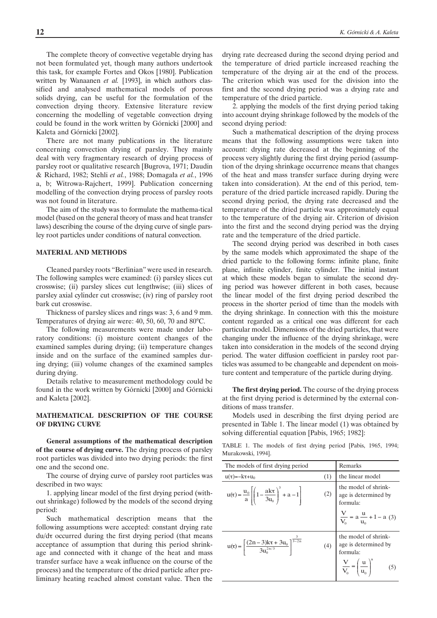The complete theory of convective vegetable drying has not been formulated yet, though many authors undertook this task, for example Fortes and Okos [1980]. Publication written by Wanaanen *et al.* [1993], in which authors classified and analysed mathematical models of porous solids drying, can be useful for the formulation of the convection drying theory. Extensive literature review concerning the modelling of vegetable convection drying could be found in the work written by Górnicki [2000] and Kaleta and Górnicki [2002].

There are not many publications in the literature concerning convection drying of parsley. They mainly deal with very fragmentary research of drying process of parsley root or qualitative research [Bugrova, 1971; Daudin & Richard, 1982; Stehli *et al.*, 1988; Domaga∏a *et al.*, 1996 a, b; Witrowa-Rajchert, 1999]. Publication concerning modelling of the convection drying process of parsley roots was not found in literature.

The aim of the study was to formulate the mathema-tical model (based on the general theory of mass and heat transfer laws) describing the course of the drying curve of single parsley root particles under conditions of natural convection.

## **MATERIAL AND METHODS**

Cleaned parsley roots "Berlinian" were used in research. The following samples were examined: (i) parsley slices cut crosswise; (ii) parsley slices cut lengthwise; (iii) slices of parsley axial cylinder cut crosswise; (iv) ring of parsley root bark cut crosswise.

Thickness of parsley slices and rings was: 3, 6 and 9 mm. Temperatures of drying air were: 40, 50, 60, 70 and 80°C.

The following measurements were made under laboratory conditions: (i) moisture content changes of the examined samples during drying; (ii) temperature changes inside and on the surface of the examined samples during drying; (iii) volume changes of the examined samples during drying.

Details relative to measurement methodology could be found in the work written by Górnicki [2000] and Górnicki and Kaleta [2002].

## **MATHEMATICAL DESCRIPTION OF THE COURSE OF DRYING CURVE**

**General assumptions of the mathematical description of the course of drying curve.** The drying process of parsley root particles was divided into two drying periods: the first one and the second one.

The course of drying curve of parsley root particles was described in two ways:

1. applying linear model of the first drying period (without shrinkage) followed by the models of the second drying period:

Such mathematical description means that the following assumptions were accepted: constant drying rate du/dτ occurred during the first drying period (that means acceptance of assumption that during this period shrinkage and connected with it change of the heat and mass transfer surface have a weak influence on the course of the process) and the temperature of the dried particle after preliminary heating reached almost constant value. Then the

drying rate decreased during the second drying period and the temperature of dried particle increased reaching the temperature of the drying air at the end of the process. The criterion which was used for the division into the first and the second drying period was a drying rate and temperature of the dried particle.

2. applying the models of the first drying period taking into account drying shrinkage followed by the models of the second drying period:

Such a mathematical description of the drying process means that the following assumptions were taken into account: drying rate decreased at the beginning of the process very slightly during the first drying period (assumption of the drying shrinkage occurrence means that changes of the heat and mass transfer surface during drying were taken into consideration). At the end of this period, temperature of the dried particle increased rapidly. During the second drying period, the drying rate decreased and the temperature of the dried particle was approximately equal to the temperature of the drying air. Criterion of division into the first and the second drying period was the drying rate and the temperature of the dried particle.

The second drying period was described in both cases by the same models which approximated the shape of the dried particle to the following forms: infinite plane, finite plane, infinite cylinder, finite cylinder. The initial instant at which these models began to simulate the second drying period was however different in both cases, because the linear model of the first drying period described the process in the shorter period of time than the models with the drying shrinkage. In connection with this the moisture content regarded as a critical one was different for each particular model. Dimensions of the dried particles, that were changing under the influence of the drying shrinkage, were taken into consideration in the models of the second drying period. The water diffusion coefficient in parsley root particles was assumed to be changeable and dependent on moisture content and temperature of the particle during drying.

**The first drying period.** The course of the drying process at the first drying period is determined by the external conditions of mass transfer.

Models used in describing the first drying period are presented in Table 1. The linear model (1) was obtained by solving differential equation [Pabis, 1965; 1982]:

iod [Pabis, 1965, 1994; 2]:<br>bis, 1965, 1994; is, 1965,  $\mathbf{R}$ solving differential equation [Pabis, 1965; 1982]:<br>TABLE 1. The models of first drying period [Pabis, 1965, 1994;  $\frac{1}{2}$   $\frac{1}{2}$   $\frac{1}{2}$   $\frac{1}{2}$   $\frac{1}{2}$   $\frac{1}{2}$   $\frac{1}{2}$   $\frac{1}{2}$   $\frac{1}{2}$   $\frac{1}{2}$   $\frac{1}{2}$   $\frac{1}{2}$   $\frac{1}{2}$   $\frac{1}{2}$   $\frac{1}{2}$   $\frac{1}{2}$   $\frac{1}{2}$   $\frac{1}{2}$   $\frac{1}{2}$   $\frac{1}{2}$   $\frac{1}{2}$   $\frac{1}{2}$  <sup>=</sup> <sup>−</sup> <sup>1</sup> <sup>u</sup> <sup>u</sup> <sup>τ</sup> <sup>τ</sup> Murakowski, 1994].

| The models of first drying period                                                         |     | Remarks                                                                                                                         |
|-------------------------------------------------------------------------------------------|-----|---------------------------------------------------------------------------------------------------------------------------------|
| $u(\tau) = -k\tau + u_0$                                                                  | (1) | the linear model                                                                                                                |
| $u(\tau) = \frac{u_0}{a} \left  \left( 1 - \frac{ak\tau}{3u_0} \right)^3 + a - 1 \right $ |     | (2) $\left  \begin{array}{c} \text{the model of shrink-} \\ \text{age is determined by} \\ \text{formula:} \end{array} \right $ |
|                                                                                           |     | $\frac{V}{V_0} = a \frac{u}{u_0} + 1 - a$ (3)                                                                                   |
| $u(\tau) = \left  \frac{(2n-3)k\tau + 3u_0}{3u^{2n/3}} \right ^{3-2n}$                    |     | the model of shrink-<br>(4) age is determined by<br>formula:                                                                    |
|                                                                                           |     | $\begin{vmatrix} & V \\ & \overline{V_0} \end{vmatrix} = \left(\frac{u}{u_0}\right)^n$<br>(5)                                   |
|                                                                                           |     |                                                                                                                                 |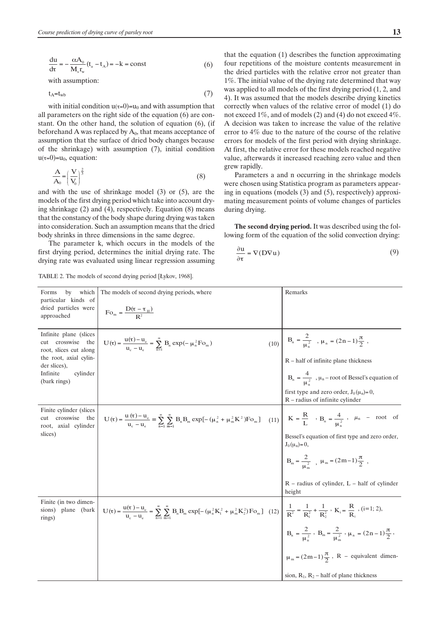$$
\frac{du}{dt} = -\frac{\alpha A_0}{M_s r_w} (t_a - t_A) = -k = \text{const}
$$
 (6)

with assumption:

$$
t_A = t_{wb} \tag{7}
$$

 $\alpha$  beforehand A was replaced by  $A_0$ , that means acceptance of assumption that the surface of dried body changes because  $u(\tau=0)=u_0$ , equation: with initial condition  $u(\tau=0) = u_0$  and with assumption that parameters on the right side of the equation (6) are conwith initial condition  $u(t=0) = u_0$  and with assumption that all parameters on the right side of the equation (6) are constant. On the other hand, the solution of equation  $(6)$ , (if  $\alpha$  assumption that the surface of dried body changes because<br>of the shrinkage) with assumption (7), initial condition

$$
\frac{A}{A_0} = \left(\frac{V}{V_0}\right)^{\frac{2}{3}}
$$
\n(8)

fraction (8) means that the constancy of the body shane during drying was taken  $A_0$   $\{V_0\}$ <br>and with the use of shrinkage model (3) or (5), are the that the constancy of the body shape during drying was taken models of the first drying period which take into account dry-<br>ing shrinkage (2) and (4), respectively. Equation (8) means into consideration. Such an assumption means that the dried body shrinks in three dimensions in the same degree.<br>The parameter  $k$ , which occurs in the models espectively. Equat Ĩ ..<br>1. se when<br>spectively  $\frac{1}{2}$  respectively. Eq.

body shrinks in three dimensions in the same degree.<br>The parameter k, which occurs in the models of the<br>first drying period, determines the initial drying rate. The The parameter k, which occurs in the models of the first drying period, determines the initial drying rate. The first drying period, determines the initial drying rate. The drying rate was evaluated using linear regression assuming  $\frac{1}{2}$  in the initial of the initial of the initial of the set of the set of the set of the set of the set of the set of the set of the set of the set of the set of the set of the set of the set of the set of the set o  $\mu$ , determines the initial<br>taluated using linear regar

#### TABLE 2. The models of second drying  $\mathbf{e}$ econd dryin dryin  $\overline{\phantom{a}}$ TABLE 2. The models of second drying period [Łykov, 1968].

that the equation (1) describes the function approximating four repetitions of the moisture contents measurement in<br>the dried particles with the relative error not greater than the dried particles with the relative error not greater than  $1\%$ . The initial value of the drying rate determined that way the dried particles with the relative error not greater than<br>1%. The initial value of the drying rate determined that way<br>was applied to all models of the first drying period (1.2, and  $\frac{1}{\infty}$ . The initial value of the drying rate determined that way was applied to all models of the first drying period  $(1, 2, 1)$ 4). It was assumed that the models describe drying kinetics<br>correctly when values of the relative error of model (1) do 4). It was assumed that the models describe drying kinetics correctly when values of the relative error of model (1) do not exceed 1%, and of models (2) and (4) do not exceed 4%. A decision was taken to increase the value of the relative error to  $4\%$  due to the nature of the course of the relative A decision was taken to increase the value of the relative error to 4% due to the nature of the course of the relative error to 4% due to the nature of the course of the relative<br>errors for models of the first period with drying shrinkage.<br>At first, the relative error for these models reached negative He sterverds it increased reaching zero value and then<br>value afterwards it increased reaching zero value and then value, afterwards it increased reaching zero value and then grew rapidly. scribes the function −<br>|<br>| scribes the func cribes the  $\mathbf{c}$ n (1) describes the function approxim the drying rate of<br>ls of the first dry e of the drying⊥<br>∩dels of the firs ased Ĩ mercureased reaching zer tion appr e function approxi  $\frac{1}{3}$  the function a  $\alpha$  e first drying pe  $\frac{1}{2}$  = <sup>+</sup> <sup>−</sup> <sup>=</sup> <sup>−</sup> <sup>1</sup> 1 ak <sup>u</sup> <sup>u</sup> <sup>τ</sup> <sup>τ</sup> 3 ( ) <sup>+</sup> <sup>−</sup> <sup>=</sup> <sup>−</sup> <sup>1</sup> 3 1 <sup>0</sup> <sup>a</sup> <sup>u</sup> a <sup>u</sup> <sup>u</sup> <sup>τ</sup> <sup>τ</sup> the moisture contents measured<br>with the relative error not greate ،<br>1 the first period with dry<br>fror for these models rea u V 3 3 <sup>−</sup> <sup>+</sup> <sup>=</sup> <sup>τ</sup> <sup>τ</sup>  $\frac{1}{2}$ of the first period with dr d n occurring in the shri  $-$  +  $-$ 

 $\overline{\phantom{a}}$  ( ) and ( ) and ( ) and ( ) and ( ) and ( ) and ( ) and ( ) and ( ) and ( ) and ( ) and ( ) and ( ) and ( ) and ( ) and ( ) and ( ) and ( ) and ( ) and ( ) and ( ) and ( ) and ( ) and ( ) and ( ) and ( ) and (

 <sup>+</sup> <sup>−</sup> j  $\overline{\phantom{0}}$ 

Ī

<u>u u tradicional de la c</u>

j <sup>=</sup> <sup>−</sup> <sup>1</sup>  $\overline{1}$ 0 a un de 1990 e 1990 e 1990 e 1990 e 1990 e 1990 e 1990 e 1990 e 1990 e 1990 e 1990 e 1990 e 1990 e 1990 e 19<br>1990 e 1990 e 1990 e 1990 e 1990 e 1990 e 1990 e 1990 e 1990 e 1990 e 1990 e 1990 e 1990 e 1990 e 1990 e 1990 <u>.</u>

Ī

Parameters a and n occurring in the shrinkage models<br>pechanon using Statistics program as parameters appear. Parameters a and n occurring in the shrinkage models<br>were chosen using Statistica program as parameters appear-<br>ing in equations (models (3) and (5) respectively) approviing in equations (models  $(3)$  and  $(5)$ , respectively) approxi-<br>mating measurement points of volume changes of particles mating measurement points of volume changes of particles<br>during drying. during drying.  $\mathbf{u}$ e rapidly.<br>arameters a and n occurring in -<br>ers a and n occu rs a and  $\mathbf{r}$ pidly.<br>nmeters a and n occurring i:  $\alpha$  and n occurrin  $\mathfrak{g}$ . nd n occurrin<br>N +1++1 whatever the particles

The second drying period. It was described using the fol-<br>lowing form of the equation of the solid convection drying: The second drying period. It was described using the following form of the equation of the solid convection drying: num of the unit of the state of the state of the state of the state of the state of the state of the state of the state of the state of the state of the state of the state of the state of the state of the state of the stat  $\mathfrak{t}$ f the equation of the solid convection drying: I'll ne second arying provide a lowing form of the equal

$$
\frac{\partial \mathbf{u}}{\partial \tau} = \nabla(\mathbf{D}\nabla \mathbf{u})\tag{9}
$$

| by which<br>Forms<br>particular kinds of                                        | The models of second drying periods, where                                                                                                                                                                                                                   | Remarks                                                                                 |
|---------------------------------------------------------------------------------|--------------------------------------------------------------------------------------------------------------------------------------------------------------------------------------------------------------------------------------------------------------|-----------------------------------------------------------------------------------------|
| dried particles were<br>approached                                              | $\text{Fo}_{\text{m}} = \frac{\text{D}(\tau - \tau_{\text{II}})}{\text{D}^2}$                                                                                                                                                                                |                                                                                         |
| Infinite plane (slices)<br>cut crosswise the<br>root, slices cut along          | $U(\tau) = \frac{u(\tau) - u_e}{u_c - u_e} = \sum_{n=1}^{\infty} B_n \exp(-\mu_n^2 F o_m)$                                                                                                                                                                   | (10) $B_n = \frac{2}{\mu_n^2}$ , $\mu_n = (2n-1)\frac{\pi}{2}$ ,                        |
| the root, axial cylin-<br>der slices),                                          |                                                                                                                                                                                                                                                              | R - half of infinite plane thickness                                                    |
| Infinite<br>cylinder<br>(bark rings)                                            |                                                                                                                                                                                                                                                              | $B_n = \frac{4}{\mu^2}$ , $\mu_n$ – root of Bessel's equation of                        |
|                                                                                 |                                                                                                                                                                                                                                                              | first type and zero order, $J_0(\mu_n)=0$ ,<br>$R$ – radius of infinite cylinder        |
| Finite cylinder (slices<br>cut crosswise the<br>root, axial cylinder<br>slices) | $U(\tau) = \frac{u(\tau) - u_e}{u_e - u_e} = \sum_{n=1}^{\infty} \sum_{m=1}^{\infty} B_n B_m \exp[-(\mu_n^2 + \mu_m^2 K^2) F \sigma_m] \ (11) \left[ K = \frac{R}{L} \cdot B_n = \frac{4}{\mu_e^2} \cdot \mu_n - \text{root of} \right]$                     |                                                                                         |
|                                                                                 |                                                                                                                                                                                                                                                              | Bessel's equation of first type and zero order,<br>$J_0(\mu_n)=0,$                      |
|                                                                                 |                                                                                                                                                                                                                                                              | $B_m = \frac{2}{\mu_m^2}$ , $\mu_m = (2m-1)\frac{\pi}{2}$ ,                             |
|                                                                                 |                                                                                                                                                                                                                                                              | $R$ – radius of cylinder, $L$ – half of cylinder<br>height                              |
| Finite (in two dimen-<br>sions) plane (bark<br>rings)                           | $U(\tau) = \frac{u(\tau) - u_e}{u_c - u_e} = \sum_{n=1}^{\infty} \sum_{m=1}^{\infty} B_n B_m \exp[-(u_n^2 K_1^2 + u_m^2 K_2^2) F_0] \quad (12) \left[ \frac{1}{R^2} = \frac{1}{R_i^2} + \frac{1}{R_i^2} \right], \quad K_i = \frac{R}{R_i}, \quad (i=1; 2),$ |                                                                                         |
|                                                                                 |                                                                                                                                                                                                                                                              | $B_n = \frac{2}{\mu_n^2}$ , $B_m = \frac{2}{\mu_m^2}$ , $\mu_n = (2n-1)\frac{\pi}{2}$ , |
|                                                                                 |                                                                                                                                                                                                                                                              | $\mu_m = (2m-1)\frac{\pi}{2}$ , R – equivalent dimen-                                   |
|                                                                                 |                                                                                                                                                                                                                                                              | sion, $R_1$ , $R_2$ – half of plane thickness                                           |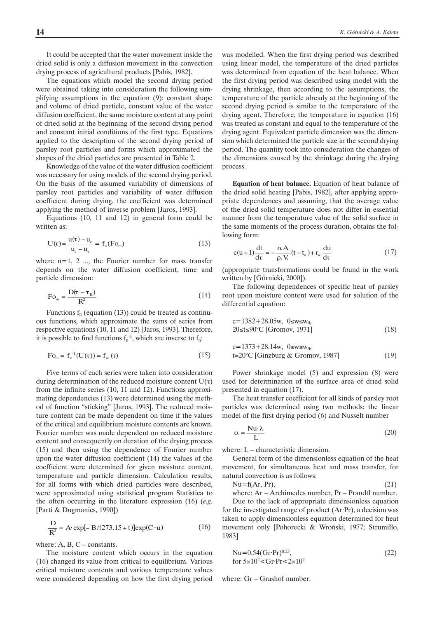It could be accepted that the water movement inside the dried solid is only a diffusion movement in the convection drying process of agricultural products [Pabis, 1982].

The equations which model the second drying period were obtained taking into consideration the following simplifying assumptions in the equation (9): constant shape and volume of dried particle, constant value of the water  $d$ :  $\frac{d}{dt}$ and volume of dried particle, constant value of the water diffusion coefficient, the same moisture content at any point of dried solid at the beginning of the second drying period and constant initial conditions of the first type. Equations applied to the description of the second drying period of applied to the description of the second drying period of  $n$  paralely root particles and forms which approximated the parsley root particles and forms which approximated the shapes of the dried particles are presented in Table 2.

Knowledge of the value of the water diffusion coefficient Knowledge of the value of the water diffusion coefficient<br>was necessary for using models of the second drying period.<br>On the horizof the second regulation of dimensions of Was help says for using models of the second drying period.<br>On the basis of the assumed variability of dimensions of parsley root particles and variability of water diffusion <sub>coefficient</sub> during drying, the coefficient was determined<br>condition the mathed of inverse applicant Lance 10021 applying the method of inverse problem [Jaros, 1993].<br>  $\frac{1}{2}$  D until and 12. in expect form every

Equations  $(10, 11 \text{ and } 12)$  in general form could be written as:

$$
U(\tau) = \frac{u(\tau) - u_{\rm e}}{u_{\rm e} - u_{\rm e}} = f_{\rm n}(Fo_{\rm m})
$$
\n(13)

 $\frac{1}{\sqrt{2}}$ where  $n=1, 2, ...,$  the Fourier hallbeel for mass transfer<br>depends on the water diffusion coefficient, time and<br>particle dimension. where  $n=1, 2, \ldots$ , the Fourier number for mass transfer depends on the wate<br>particle dimension:

$$
Fo_m = \frac{D(\tau - \tau_{\text{II}})}{R^2}
$$
 (14)

bus functions, which approximate the sums of series from<br>respective equations (10, 11 and 12) [Jaros, 1993]. Therefore,<br>it is not sill to find functions for publish are inverse to for- $\frac{1}{2}$  and  $\frac{1}{2}$  ( $\frac{1}{2}$  approximate the sums of series from reconcitive squations, which approximate the sums of series from Functions  $f_n$  (equation (13)) could be treated as continu-<br>functions which approximate the sums of series from it is possible to find functions  $f_n^{-1}$ , which are inverse to  $f_n$ :

$$
\mathrm{Fo}_{\mathrm{m}} = \mathrm{f}_{\mathrm{n}}^{-1}(\mathrm{U}(\tau)) = \mathrm{f}_{\mathrm{m}}(\tau) \tag{15}
$$

Five terms of each series were taken into consideration mating dependencies (13) were determined using the methduring determination of the reduced moisture content  $U(\tau)$  from the infinite series (10, 11 and 12). Functions approxiduring determination of the reduced moisture content  $U(\tau)$  $\frac{1}{2}$  and  $\frac{1}{2}$  and  $\frac{1}{2}$  and  $\frac{1}{2}$  and  $\frac{1}{2}$  and  $\frac{1}{2}$  and  $\frac{1}{2}$  and  $\frac{1}{2}$  and  $\frac{1}{2}$  and  $\frac{1}{2}$  and  $\frac{1}{2}$  and  $\frac{1}{2}$  and  $\frac{1}{2}$  and  $\frac{1}{2}$  and  $\frac{1}{2}$  and  $\frac{1}{2}$  a fute content can be made dependent on time if the values<br>of the critical and equilibrium moisture contents are known. Fourier number was made dependent on reduced moisture upon the water diffusion coefficient  $(14)$  the values of the content and consequently on duration of the drying process  $(15)$  and then using the dependence of Fourier number<br>upon the water diffusion coefficient  $(14)$  the values of the od of function "sticking" [Jaros, 1993]. The reduced moisture content can be made dependent on time if the values content and consequently on duration of the drying process (15) and then using the dependence of Fourier number coefficient were determined for given moisture content, coefficient were determined for given moisture content,<br>temperature and particle dimension. Calculation results, for all forms with which dried particles were described, were approximated using statistical program Statistica to the often occurring in the literature expression (16) (*e.g*. [Parti & Dugmanics, 1990])

$$
\frac{D}{R^2} = A \cdot \exp[-B/(273.15 + t)] \exp(C \cdot u)
$$
 (16)

where: A, B,  $C$  – constants.

(16) changed its value from critical to equilibrium. Various<br>critical moisture contents and various temperature values (16) changed its value from critical to equilibrium. Various The moisture content which occurs in the equation were considered depending on how the first drying period

was modelled. When the first drying period was described using linear model, the temperature of the dried particles using iniear model, the temperature of the dried particles<br>was determined from equation of the heat balance. When the first drying period was described using model with the drying shrinkage, then according to the assumptions, the temperature of the particle already at the beginning of the ∂ remperature of the particle aiready at the beginning of the second drying period is similar to the temperature of the drying agent. Therefore, the temperature in equation (16) was treated as constant and equal to the temperature of the drying agent. Equivalent particle dimension was the dimension which determined the particle size in the second drying drying agent. Equivalent particle differentiation was the differential size in the second drying period. The quantity took into consideration the changes of the dimensions caused by the shrinkage during the drying the dimensions caused by the shrinkage during the drying<br>the dimensions caused by the shrinkage during the drying process.

<sup>=</sup> <sup>−</sup> <sup>−</sup> <sup>=</sup> <sup>−</sup> <sup>=</sup> <sup>α</sup> <sup>0</sup>

Equation of heat balance. Equation of heat balance of the dried solid heating [Pabis, 1982], after applying appropriate dependences and assuming, that the average value of the dried solid temperature does not differ in essential or the dried solid temperature does not differ in essential manner from the temperature value of the solid surface in the same moments of the process duration, obtains the fol lowing form:

$$
c(u+1)\frac{dt}{dt} = -\frac{\alpha A}{\rho_s V_s}(t-t_a) + r_w \frac{du}{dt}
$$
 (17)

(appropriate transformations could be found in the work written by [Górnicki, 2000]).<br>The following dependence

tten by [Górnicki, 2000]).<br>The following dependences of specific heat of parsley root upon moisture content were used for solution of the differential equation:

$$
c=1382+28.05w, 0 \le w \le w_0,
$$
  
20 $\le t \le 90^{\circ}$ C [Gromov, 1971] (18)

$$
c = 1373 + 28.14w, 0 \le w \le w_0,\nt = 20°C [Ginzburg & Gromov, 1987] \tag{19}
$$

Power shrinkage model  $(5)$  and expression  $(8)$  were used for determination of the surface area of dried solid presented in equation (17).

The heat transfer coefficient for all kinds of parsley root The heat transfer coefficient for all kinds of parsley root particles was determined using two methods: the linear model of the first drying period (6) and Nusselt number

$$
\alpha = \frac{\text{Nu} \cdot \lambda}{L} \tag{20}
$$

where: L – characteristic dimension.

General form of the dimensionless equation of the heat movement, for simultaneous heat and mass transfer, for natural convection is as follows:

 $Nu = f(Ar, Pr)$ , (21)

where: Ar – Archimedes number, Pr – Prandtl number.

Due to the lack of appropriate dimensionless equation for the investigated range of product (Ar·Pr), a decision was taken to apply dimensionless equation determined for heat movement only [Pohorecki & Wroński, 1977; Strumiłło, 1983]

Nu=0.54(Gr·Pr)0.25, (22) for 5×102 <Gr·Pr<2×107

where: Gr – Grashof number.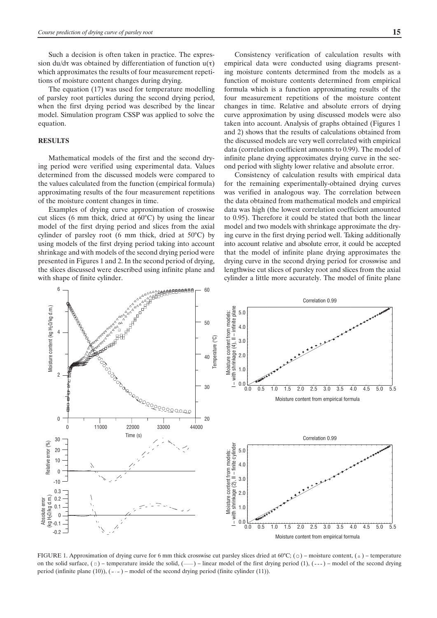Such a decision is often taken in practice. The expression du/dτ was obtained by differentiation of function  $u(\tau)$ which approximates the results of four measurement repetitions of moisture content changes during drying.

The equation (17) was used for temperature modelling of parsley root particles during the second drying period, when the first drying period was described by the linear model. Simulation program CSSP was applied to solve the equation.

## **RESULTS**

Mathematical models of the first and the second drying period were verified using experimental data. Values determined from the discussed models were compared to the values calculated from the function (empirical formula) approximating results of the four measurement repetitions of the moisture content changes in time.

Examples of drying curve approximation of crosswise cut slices (6 mm thick, dried at  $60^{\circ}$ C) by using the linear model of the first drying period and slices from the axial cylinder of parsley root (6 mm thick, dried at 50°C) by using models of the first drying period taking into account shrinkage and with models of the second drying period were presented in Figures 1 and 2. In the second period of drying, the slices discussed were described using infinite plane and with shape of finite cylinder.

Consistency verification of calculation results with empirical data were conducted using diagrams presenting moisture contents determined from the models as a function of moisture contents determined from empirical formula which is a function approximating results of the four measurement repetitions of the moisture content changes in time. Relative and absolute errors of drying curve approximation by using discussed models were also taken into account. Analysis of graphs obtained (Figures 1 and 2) shows that the results of calculations obtained from the discussed models are very well correlated with empirical data (correlation coefficient amounts to 0.99). The model of infinite plane drying approximates drying curve in the sec-

Consistency of calculation results with empirical data for the remaining experimentally-obtained drying curves was verified in analogous way. The correlation between the data obtained from mathematical models and empirical data was high (the lowest correlation coefficient amounted to 0.95). Therefore it could be stated that both the linear model and two models with shrinkage approximate the drying curve in the first drying period well. Taking additionally into account relative and absolute error, it could be accepted that the model of infinite plane drying approximates the drying curve in the second drying period for crosswise and lengthwise cut slices of parsley root and slices from the axial cylinder a little more accurately. The model of finite plane

ond period with slighty lower relative and absolute error.



FIGURE 1. Approximation of drying curve for 6 mm thick crosswise cut parsley slices dried at 60°C; ( $\circ$ ) – moisture content, ( $\circ$ ) – temperature on the solid surface,  $(\Box)$  – temperature inside the solid,  $(\underline{\hspace{1cm}})$  – linear model of the first drying period  $(1)$ ,  $(\underline{\hspace{1cm}})$  – model of the second drying period (infinite plane (10)),  $(-,-)$  – model of the second drying period (finite cylinder (11)).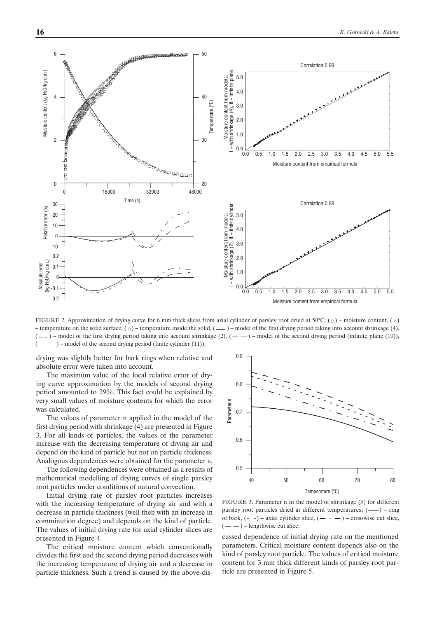

FIGURE 2. Approximation of drying curve for 6 mm thick slices from axial cylinder of parsley root dried at 50°C; (0) – moisture content, ( $\Delta$ ) – temperature on the solid surface,  $(\Box)$  – temperature inside the solid,  $($ — $)$  – model of the first drying period taking into account shrinkage (4),  $(- -)$  – model of the first drying period taking into account shrinkage (2),  $(- -)$  – model of the second drying period (infinite plane (10)),  $(-$ ) – model of the second drying period (finite cylinder (11)).

drying was slightly better for bark rings when relative and absolute error were taken into account.

The maximum value of the local relative error of drying curve approximation by the models of second drying period amounted to 29%. This fact could be explained by very small values of moisture contents for which the error was calculated.

The values of parameter n applied in the model of the first drying period with shrinkage (4) are presented in Figure 3. For all kinds of particles, the values of the parameter increase with the decreasing temperature of drying air and depend on the kind of particle but not on particle thickness. Analogous dependences were obtained for the parameter a.

The following dependences were obtained as a results of mathematical modelling of drying curves of single parsley root particles under conditions of natural convection.

Initial drying rate of parsley root particles increases with the increasing temperature of drying air and with a decrease in particle thickness (well then with an increase in comminution degree) and depends on the kind of particle. The values of initial drying rate for axial cylinder slices are presented in Figure 4.

The critical moisture content which conventionally divides the first and the second drying period decreases with the increasing temperature of drying air and a decrease in particle thickness. Such a trend is caused by the above-dis-



FIGURE 3. Parameter n in the model of shrinkage (5) for different parsley root particles dried at different temperatures;  $($ --) – ring of bark,  $(- -)$  – axial cylinder slice,  $(- - -)$  – crosswise cut slice,  $-$ ) – lengthwise cut slice.

cussed dependence of initial drying rate on the mentioned parameters. Critical moisture content depends also on the kind of parsley root particle. The values of critical moisture content for 3 mm thick different kinds of parsley root particle are presented in Figure 5.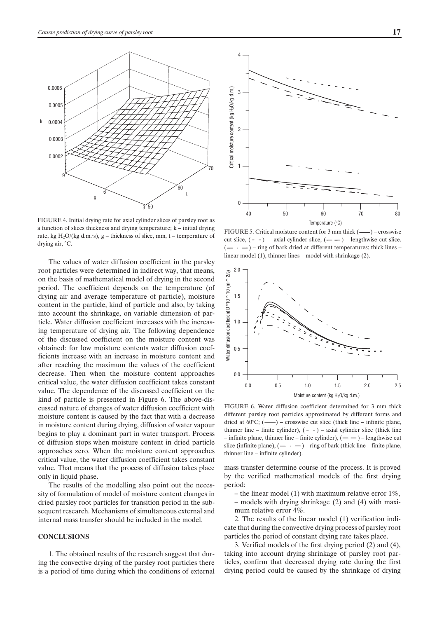

FIGURE 4. Initial drying rate for axial cylinder slices of parsley root as a function of slices thickness and drying temperature; k – initial drying rate, kg  $H_2O/(kg d.m.s)$ , g – thickness of slice, mm, t – temperature of drying air, °C.

The values of water diffusion coefficient in the parsley root particles were determined in indirect way, that means, on the basis of mathematical model of drying in the second period. The coefficient depends on the temperature (of drying air and average temperature of particle), moisture content in the particle, kind of particle and also, by taking into account the shrinkage, on variable dimension of particle. Water diffusion coefficient increases with the increasing temperature of drying air. The following dependence of the discussed coefficient on the moisture content was obtained: for low moisture contents water diffusion coefficients increase with an increase in moisture content and after reaching the maximum the values of the coefficient decrease. Then when the moisture content approaches critical value, the water diffusion coefficient takes constant value. The dependence of the discussed coefficient on the kind of particle is presented in Figure 6. The above-discussed nature of changes of water diffusion coefficient with moisture content is caused by the fact that with a decrease in moisture content during drying, diffusion of water vapour begins to play a dominant part in water transport. Process of diffusion stops when moisture content in dried particle approaches zero. When the moisture content approaches critical value, the water diffusion coefficient takes constant value. That means that the process of diffusion takes place only in liquid phase.

The results of the modelling also point out the necessity of formulation of model of moisture content changes in dried parsley root particles for transition period in the subsequent research. Mechanisms of simultaneous external and internal mass transfer should be included in the model.

## **CONCLUSIONS**

1. The obtained results of the research suggest that during the convective drying of the parsley root particles there is a period of time during which the conditions of external



FIGURE 5. Critical moisture content for  $3 \text{ mm}$  thick  $($ — $)$  – crosswise cut slice,  $(- -)$  – axial cylinder slice,  $(- -)$  – lengthwise cut slice.  $(- \cdot -)$  – ring of bark dried at different temperatures; thick lines – linear model (1), thinner lines – model with shrinkage (2).



FIGURE 6. Water diffusion coefficient determined for 3 mm thick different parsley root particles approximated by different forms and dried at  $60^{\circ}$ C; ( $\longrightarrow$ ) – crosswise cut slice (thick line – infinite plane, thinner line – finite cylinder),  $(- -)$  – axial cylinder slice (thick line – infinite plane, thinner line – finite cylinder),  $(- - )$  – lengthwise cut slice (infinite plane),  $(- \cdot -)$  – ring of bark (thick line – finite plane, thinner line – infinite cylinder).

mass transfer determine course of the process. It is proved by the verified mathematical models of the first drying period:

- the linear model (1) with maximum relative error  $1\%$ , – models with drying shrinkage (2) and (4) with maxi-
- mum relative error 4%.

2. The results of the linear model (1) verification indicate that during the convective drying process of parsley root particles the period of constant drying rate takes place.

3. Verified models of the first drying period (2) and (4), taking into account drying shrinkage of parsley root particles, confirm that decreased drying rate during the first drying period could be caused by the shrinkage of drying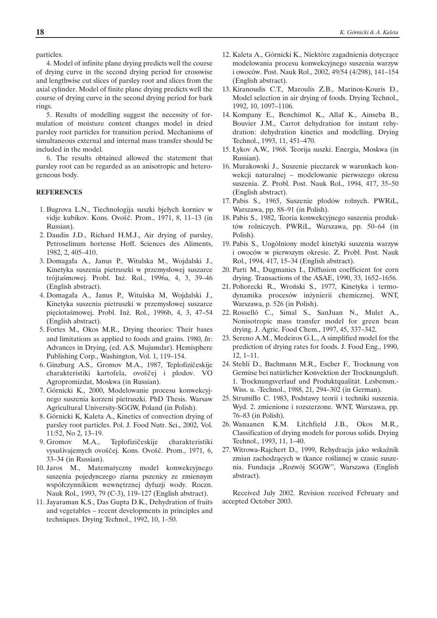particles.

4. Model of infinite plane drying predicts well the course of drying curve in the second drying period for crosswise and lengthwise cut slices of parsley root and slices from the axial cylinder. Model of finite plane drying predicts well the course of drying curve in the second drying period for bark rings.

5. Results of modelling suggest the necessity of formulation of moisture content changes model in dried parsley root particles for transition period. Mechanisms of simultaneous external and internal mass transfer should be included in the model.

6. The results obtained allowed the statement that parsley root can be regarded as an anisotropic and heterogeneous body.

### **REFERENCES**

- 1. Bugrova L.N., Tiechnologija suszki bjelych korniev w vidje kubikov. Kons. Ovošč. Prom., 1971, 8, 11–13 (in Russian).
- 2. Daudin J.D., Richard H.M.J., Air drying of parsley, Petroselinum hortense Hoff. Sciences des Aliments, 1982, 2, 405–410.
- 3. Domaga∏a A., Janus P., Witulska M., Wojdalski J., Kinetyka suszenia pietruszki w przemysłowej suszarce trójtaśmowej. Probl. Inż. Rol., 1996a, 4, 3, 39-46 (English abstract).
- 4. Domagała A., Janus P., Witulska M, Wojdalski J., Kinetyka suszenia pietruszki w przemysłowej suszarce pięciotaśmowej. Probl. Inż. Rol., 1996b, 4, 3, 47-54 (English abstract).
- 5. Fortes M., Okos M.R., Drying theories: Their bases and limitations as applied to foods and grains. 1980, *In*: Advances in Drying, (ed. A.S. Mujumdar). Hemisphere Publishing Corp., Washington, Vol. 1, 119–154.
- 6. Ginzburg A.S., Gromov M.A., 1987, Teplofizičeskije charakteristiki kartofela, ovoščej i plodov. VO Agropromizdat, Moskwa (in Russian).
- 7. Górnicki K., 2000, Modelowanie procesu konwekcyjnego suszenia korzeni pietruszki. PhD Thesis. Warsaw Agricultural University-SGGW, Poland (in Polish).
- 8. Górnicki K, Kaleta A., Kinetics of convection drying of parsley root particles. Pol. J. Food Nutr. Sci., 2002, Vol. 11/52, No 2, 13–19.
- 9. Gromov M.A., Teplofizičeskije charakteristiki vysušivajemych ovoščej. Kons. Ovošč. Prom., 1971, 6, 33–34 (in Russian).
- 10. Jaros M., Matematyczny model konwekcyjnego suszenia pojedynczego ziarna pszenicy ze zmiennym współczynnikiem wewnętrznej dyfuzji wody. Roczn. Nauk Rol., 1993, 79 (C-3), 119–127 (English abstract).
- 11. Jayaraman K.S., Das Gupta D.K., Dehydration of fruits and vegetables – recent developments in principles and techniques. Drying Technol., 1992, 10, 1–50.
- 12. Kaleta A., Górnicki K., Niektóre zagadnienia dotyczàce modelowania procesu konwekcyjnego suszenia warzyw i owoców. Post. Nauk Rol., 2002, 49/54 (4/298), 141–154 (English abstract).
- 13. Kiranoudis C.T., Maroulis Z.B., Marinos-Kouris D., Model selection in air drying of foods. Drying Technol., 1992, 10, 1097–1106.
- 14. Kompany E., Benchimol K., Allaf K., Ainseba B., Bouvier J.M., Carrot dehydration for instant rehydration: dehydration kinetics and modelling. Drying Technol., 1993, 11, 451–470.
- 15. Łykov A.W., 1968. Teorija suszki. Energia, Moskwa (in Russian).
- 16. Murakowski J., Suszenie pieczarek w warunkach konwekcji naturalnej – modelowanie pierwszego okresu suszenia. Z. Probl. Post. Nauk Rol., 1994, 417, 35–50 (English abstract).
- 17. Pabis S., 1965, Suszenie płodów rolnych. PWRiL, Warszawa, pp. 88–91 (in Polish).
- 18. Pabis S., 1982, Teoria konwekcyjnego suszenia produktów rolniczych. PWRiL, Warszawa, pp. 50–64 (in Polish).
- 19. Pabis S., Uogólniony model kinetyki suszenia warzyw i owoców w pierwszym okresie. Z. Probl. Post. Nauk Rol., 1994, 417, 15–34 (English abstract).
- 20. Parti M., Dugmanics I., Diffusion coefficient for corn drying. Transactions of the ASAE, 1990, 33, 1652–1656.
- 21. Pohorecki R., Wroński S., 1977, Kinetyka i termodynamika procesów inżynierii chemicznej. WNT, Warszawa, p. 526 (in Polish).
- 22. Rosselló C., Simal S., SanJuan N., Mulet A., Nonisotropic mass transfer model for green bean drying. J. Agric. Food Chem., 1997, 45, 337–342.
- 23. Sereno A.M., Medeiros G.L., A simplified model for the prediction of drying rates for foods. J. Food Eng., 1990, 12, 1–11.
- 24. Stehli D., Bachmann M.R., Escher F., Trocknung von Gemüse bei natürlicher Konvektion der Trocknungsluft. 1. Trocknungsverlauf und Produktqualität. Lesbensm.- Wiss. u. -Technol., 1988, 21, 294–302 (in German).
- 25. Strumiłło C. 1983, Podstawy teorii i techniki suszenia. Wyd. 2. zmienione i rozszerzone. WNT, Warszawa, pp. 76–83 (in Polish).
- 26. Wanaanen K.M. Litchfield J.B., Okos M.R., Classification of drying models for porous solids. Drying Technol., 1993, 11, 1–40.
- 27. Witrowa-Rajchert D., 1999, Rehydracja jako wskaênik zmian zachodzących w tkance roślinnej w czasie suszenia. Fundacja "Rozwój SGGW", Warszawa (English abstract).

Received July 2002. Revision received February and accepted October 2003.